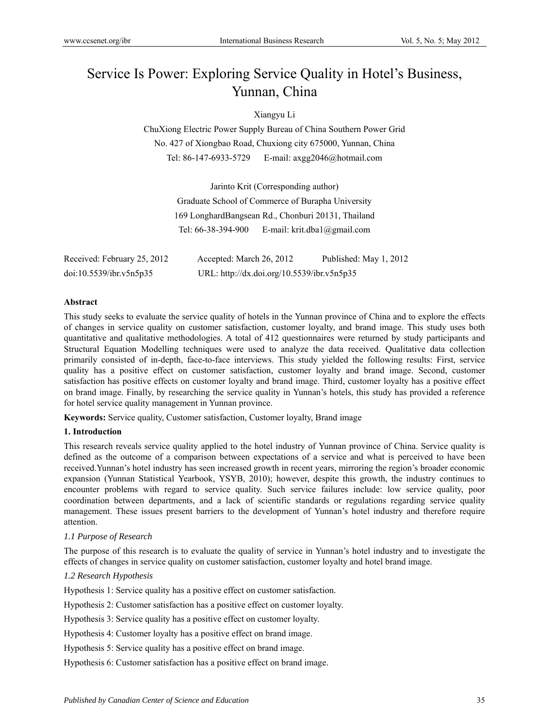# Service Is Power: Exploring Service Quality in Hotel's Business, Yunnan, China

## Xiangyu Li

ChuXiong Electric Power Supply Bureau of China Southern Power Grid No. 427 of Xiongbao Road, Chuxiong city 675000, Yunnan, China Tel: 86-147-6933-5729 E-mail: axgg2046@hotmail.com

> Jarinto Krit (Corresponding author) Graduate School of Commerce of Burapha University 169 LonghardBangsean Rd., Chonburi 20131, Thailand Tel: 66-38-394-900 E-mail: krit.dba1@gmail.com

Received: February 25, 2012 Accepted: March 26, 2012 Published: May 1, 2012 doi:10.5539/ibr.v5n5p35 URL: http://dx.doi.org/10.5539/ibr.v5n5p35

### **Abstract**

This study seeks to evaluate the service quality of hotels in the Yunnan province of China and to explore the effects of changes in service quality on customer satisfaction, customer loyalty, and brand image. This study uses both quantitative and qualitative methodologies. A total of 412 questionnaires were returned by study participants and Structural Equation Modelling techniques were used to analyze the data received. Qualitative data collection primarily consisted of in-depth, face-to-face interviews. This study yielded the following results: First, service quality has a positive effect on customer satisfaction, customer loyalty and brand image. Second, customer satisfaction has positive effects on customer loyalty and brand image. Third, customer loyalty has a positive effect on brand image. Finally, by researching the service quality in Yunnan's hotels, this study has provided a reference for hotel service quality management in Yunnan province.

**Keywords:** Service quality, Customer satisfaction, Customer loyalty, Brand image

#### **1. Introduction**

This research reveals service quality applied to the hotel industry of Yunnan province of China. Service quality is defined as the outcome of a comparison between expectations of a service and what is perceived to have been received.Yunnan's hotel industry has seen increased growth in recent years, mirroring the region's broader economic expansion (Yunnan Statistical Yearbook, YSYB, 2010); however, despite this growth, the industry continues to encounter problems with regard to service quality. Such service failures include: low service quality, poor coordination between departments, and a lack of scientific standards or regulations regarding service quality management. These issues present barriers to the development of Yunnan's hotel industry and therefore require attention.

#### *1.1 Purpose of Research*

The purpose of this research is to evaluate the quality of service in Yunnan's hotel industry and to investigate the effects of changes in service quality on customer satisfaction, customer loyalty and hotel brand image.

#### *1.2 Research Hypothesis*

Hypothesis 1: Service quality has a positive effect on customer satisfaction.

Hypothesis 2: Customer satisfaction has a positive effect on customer loyalty.

Hypothesis 3: Service quality has a positive effect on customer loyalty.

Hypothesis 4: Customer loyalty has a positive effect on brand image.

Hypothesis 5: Service quality has a positive effect on brand image.

Hypothesis 6: Customer satisfaction has a positive effect on brand image.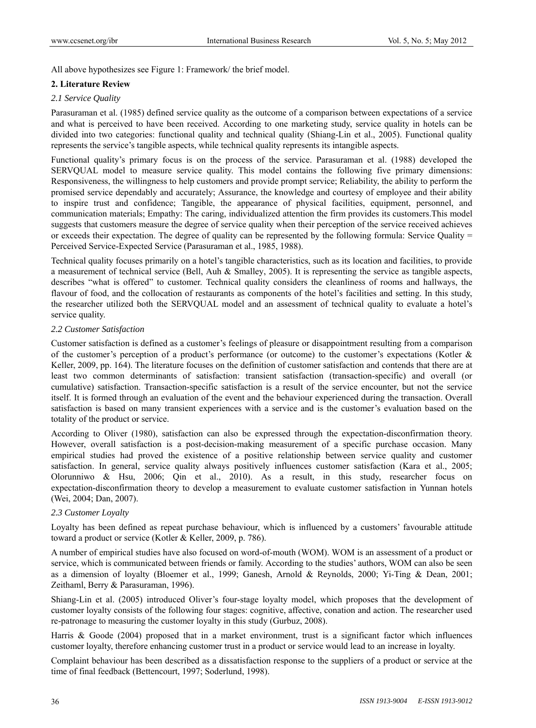All above hypothesizes see Figure 1: Framework/ the brief model.

### **2. Literature Review**

#### *2.1 Service Quality*

Parasuraman et al. (1985) defined service quality as the outcome of a comparison between expectations of a service and what is perceived to have been received. According to one marketing study, service quality in hotels can be divided into two categories: functional quality and technical quality (Shiang-Lin et al., 2005). Functional quality represents the service's tangible aspects, while technical quality represents its intangible aspects.

Functional quality's primary focus is on the process of the service. Parasuraman et al. (1988) developed the SERVQUAL model to measure service quality. This model contains the following five primary dimensions: Responsiveness, the willingness to help customers and provide prompt service; Reliability, the ability to perform the promised service dependably and accurately; Assurance, the knowledge and courtesy of employee and their ability to inspire trust and confidence; Tangible, the appearance of physical facilities, equipment, personnel, and communication materials; Empathy: The caring, individualized attention the firm provides its customers.This model suggests that customers measure the degree of service quality when their perception of the service received achieves or exceeds their expectation. The degree of quality can be represented by the following formula: Service Quality = Perceived Service-Expected Service (Parasuraman et al., 1985, 1988).

Technical quality focuses primarily on a hotel's tangible characteristics, such as its location and facilities, to provide a measurement of technical service (Bell, Auh & Smalley, 2005). It is representing the service as tangible aspects, describes "what is offered" to customer. Technical quality considers the cleanliness of rooms and hallways, the flavour of food, and the collocation of restaurants as components of the hotel's facilities and setting. In this study, the researcher utilized both the SERVQUAL model and an assessment of technical quality to evaluate a hotel's service quality.

#### *2.2 Customer Satisfaction*

Customer satisfaction is defined as a customer's feelings of pleasure or disappointment resulting from a comparison of the customer's perception of a product's performance (or outcome) to the customer's expectations (Kotler & Keller, 2009, pp. 164). The literature focuses on the definition of customer satisfaction and contends that there are at least two common determinants of satisfaction: transient satisfaction (transaction-specific) and overall (or cumulative) satisfaction. Transaction-specific satisfaction is a result of the service encounter, but not the service itself. It is formed through an evaluation of the event and the behaviour experienced during the transaction. Overall satisfaction is based on many transient experiences with a service and is the customer's evaluation based on the totality of the product or service.

According to Oliver (1980), satisfaction can also be expressed through the expectation-disconfirmation theory. However, overall satisfaction is a post-decision-making measurement of a specific purchase occasion. Many empirical studies had proved the existence of a positive relationship between service quality and customer satisfaction. In general, service quality always positively influences customer satisfaction (Kara et al., 2005; Olorunniwo & Hsu, 2006; Qin et al., 2010). As a result, in this study, researcher focus on expectation-disconfirmation theory to develop a measurement to evaluate customer satisfaction in Yunnan hotels (Wei, 2004; Dan, 2007).

#### *2.3 Customer Loyalty*

Loyalty has been defined as repeat purchase behaviour, which is influenced by a customers' favourable attitude toward a product or service (Kotler & Keller, 2009, p. 786).

A number of empirical studies have also focused on word-of-mouth (WOM). WOM is an assessment of a product or service, which is communicated between friends or family. According to the studies' authors, WOM can also be seen as a dimension of loyalty (Bloemer et al., 1999; Ganesh, Arnold & Reynolds, 2000; Yi-Ting & Dean, 2001; Zeithaml, Berry & Parasuraman, 1996).

Shiang-Lin et al. (2005) introduced Oliver's four-stage loyalty model, which proposes that the development of customer loyalty consists of the following four stages: cognitive, affective, conation and action. The researcher used re-patronage to measuring the customer loyalty in this study (Gurbuz, 2008).

Harris & Goode (2004) proposed that in a market environment, trust is a significant factor which influences customer loyalty, therefore enhancing customer trust in a product or service would lead to an increase in loyalty.

Complaint behaviour has been described as a dissatisfaction response to the suppliers of a product or service at the time of final feedback (Bettencourt, 1997; Soderlund, 1998).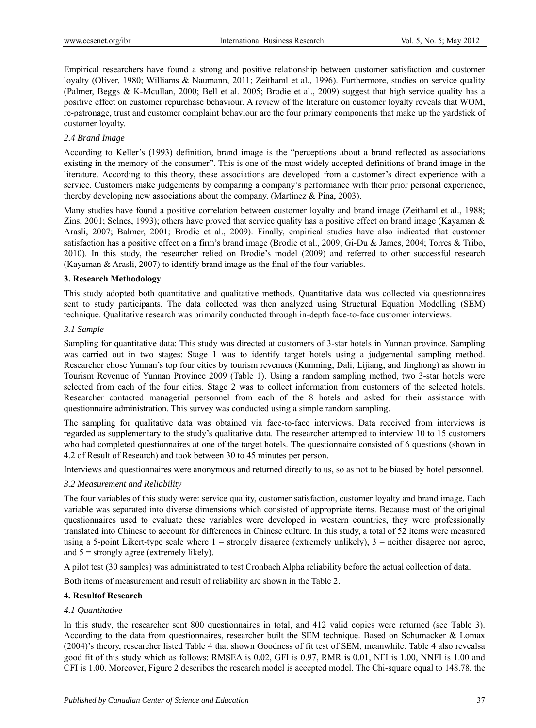Empirical researchers have found a strong and positive relationship between customer satisfaction and customer loyalty (Oliver, 1980; Williams & Naumann, 2011; Zeithaml et al., 1996). Furthermore, studies on service quality (Palmer, Beggs & K-Mcullan, 2000; Bell et al. 2005; Brodie et al., 2009) suggest that high service quality has a positive effect on customer repurchase behaviour. A review of the literature on customer loyalty reveals that WOM, re-patronage, trust and customer complaint behaviour are the four primary components that make up the yardstick of customer loyalty.

#### *2.4 Brand Image*

According to Keller's (1993) definition, brand image is the "perceptions about a brand reflected as associations existing in the memory of the consumer". This is one of the most widely accepted definitions of brand image in the literature. According to this theory, these associations are developed from a customer's direct experience with a service. Customers make judgements by comparing a company's performance with their prior personal experience, thereby developing new associations about the company. (Martinez & Pina, 2003).

Many studies have found a positive correlation between customer loyalty and brand image (Zeithaml et al., 1988; Zins, 2001; Selnes, 1993); others have proved that service quality has a positive effect on brand image (Kayaman & Arasli, 2007; Balmer, 2001; Brodie et al., 2009). Finally, empirical studies have also indicated that customer satisfaction has a positive effect on a firm's brand image (Brodie et al., 2009; Gi-Du & James, 2004; Torres & Tribo, 2010). In this study, the researcher relied on Brodie's model (2009) and referred to other successful research (Kayaman & Arasli, 2007) to identify brand image as the final of the four variables.

#### **3. Research Methodology**

This study adopted both quantitative and qualitative methods. Quantitative data was collected via questionnaires sent to study participants. The data collected was then analyzed using Structural Equation Modelling (SEM) technique. Qualitative research was primarily conducted through in-depth face-to-face customer interviews.

#### *3.1 Sample*

Sampling for quantitative data: This study was directed at customers of 3-star hotels in Yunnan province. Sampling was carried out in two stages: Stage 1 was to identify target hotels using a judgemental sampling method. Researcher chose Yunnan's top four cities by tourism revenues (Kunming, Dali, Lijiang, and Jinghong) as shown in Tourism Revenue of Yunnan Province 2009 (Table 1). Using a random sampling method, two 3-star hotels were selected from each of the four cities. Stage 2 was to collect information from customers of the selected hotels. Researcher contacted managerial personnel from each of the 8 hotels and asked for their assistance with questionnaire administration. This survey was conducted using a simple random sampling.

The sampling for qualitative data was obtained via face-to-face interviews. Data received from interviews is regarded as supplementary to the study's qualitative data. The researcher attempted to interview 10 to 15 customers who had completed questionnaires at one of the target hotels. The questionnaire consisted of 6 questions (shown in 4.2 of Result of Research) and took between 30 to 45 minutes per person.

Interviews and questionnaires were anonymous and returned directly to us, so as not to be biased by hotel personnel.

#### *3.2 Measurement and Reliability*

The four variables of this study were: service quality, customer satisfaction, customer loyalty and brand image. Each variable was separated into diverse dimensions which consisted of appropriate items. Because most of the original questionnaires used to evaluate these variables were developed in western countries, they were professionally translated into Chinese to account for differences in Chinese culture. In this study, a total of 52 items were measured using a 5-point Likert-type scale where  $1 =$  strongly disagree (extremely unlikely),  $3 =$  neither disagree nor agree, and  $5 =$  strongly agree (extremely likely).

A pilot test (30 samples) was administrated to test Cronbach Alpha reliability before the actual collection of data.

Both items of measurement and result of reliability are shown in the Table 2.

#### **4. Resultof Research**

#### *4.1 Quantitative*

In this study, the researcher sent 800 questionnaires in total, and 412 valid copies were returned (see Table 3). According to the data from questionnaires, researcher built the SEM technique. Based on Schumacker & Lomax (2004)'s theory, researcher listed Table 4 that shown Goodness of fit test of SEM, meanwhile. Table 4 also revealsa good fit of this study which as follows: RMSEA is 0.02, GFI is 0.97, RMR is 0.01, NFI is 1.00, NNFI is 1.00 and CFI is 1.00. Moreover, Figure 2 describes the research model is accepted model. The Chi-square equal to 148.78, the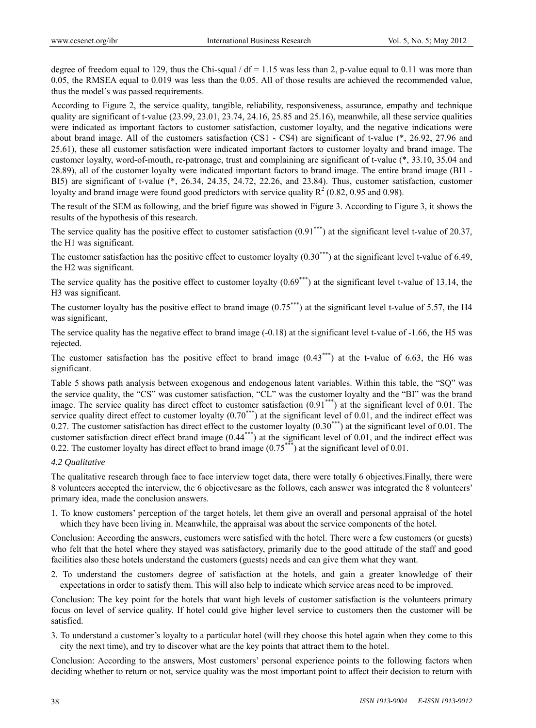degree of freedom equal to 129, thus the Chi-squal  $\sqrt{df} = 1.15$  was less than 2, p-value equal to 0.11 was more than 0.05, the RMSEA equal to 0.019 was less than the 0.05. All of those results are achieved the recommended value, thus the model's was passed requirements.

According to Figure 2, the service quality, tangible, reliability, responsiveness, assurance, empathy and technique quality are significant of t-value  $(23.99, 23.01, 23.74, 24.16, 25.85,$  and  $(25.16)$ , meanwhile, all these service qualities were indicated as important factors to customer satisfaction, customer loyalty, and the negative indications were about brand image. All of the customers satisfaction (CS1 - CS4) are significant of t-value (\*, 26.92, 27.96 and 25.61), these all customer satisfaction were indicated important factors to customer loyalty and brand image. The customer loyalty, word-of-mouth, re-patronage, trust and complaining are significant of t-value (\*, 33.10, 35.04 and 28.89), all of the customer loyalty were indicated important factors to brand image. The entire brand image (BI1 - BI5) are significant of t-value (\*, 26.34, 24.35, 24.72, 22.26, and 23.84). Thus, customer satisfaction, customer loyalty and brand image were found good predictors with service quality  $R^2$  (0.82, 0.95 and 0.98).

The result of the SEM as following, and the brief figure was showed in Figure 3. According to Figure 3, it shows the results of the hypothesis of this research.

The service quality has the positive effect to customer satisfaction  $(0.91^{***})$  at the significant level t-value of 20.37, the H1 was significant.

The customer satisfaction has the positive effect to customer loyalty  $(0.30^{***})$  at the significant level t-value of 6.49, the H2 was significant.

The service quality has the positive effect to customer loyalty  $(0.69^{***})$  at the significant level t-value of 13.14, the H3 was significant.

The customer loyalty has the positive effect to brand image  $(0.75***)$  at the significant level t-value of 5.57, the H4 was significant,

The service quality has the negative effect to brand image (-0.18) at the significant level t-value of -1.66, the H5 was rejected.

The customer satisfaction has the positive effect to brand image  $(0.43^{***})$  at the t-value of 6.63, the H6 was significant.

Table 5 shows path analysis between exogenous and endogenous latent variables. Within this table, the "SQ" was the service quality, the "CS" was customer satisfaction, "CL" was the customer loyalty and the "BI" was the brand image. The service quality has direct effect to customer satisfaction  $(0.91***)$  at the significant level of 0.01. The service quality direct effect to customer loyalty  $(0.70^{***})$  at the significant level of 0.01, and the indirect effect was 0.27. The customer satisfaction has direct effect to the customer loyalty (0.30\*\*\*) at the significant level of 0.01. The customer satisfaction direct effect brand image (0.44\*\*\*) at the significant level of 0.01, and the indirect effect was 0.22. The customer loyalty has direct effect to brand image  $(0.75***)$  at the significant level of 0.01.

#### *4.2 Qualitative*

The qualitative research through face to face interview toget data, there were totally 6 objectives.Finally, there were 8 volunteers accepted the interview, the 6 objectivesare as the follows, each answer was integrated the 8 volunteers' primary idea, made the conclusion answers.

1. To know customers' perception of the target hotels, let them give an overall and personal appraisal of the hotel which they have been living in. Meanwhile, the appraisal was about the service components of the hotel.

Conclusion: According the answers, customers were satisfied with the hotel. There were a few customers (or guests) who felt that the hotel where they stayed was satisfactory, primarily due to the good attitude of the staff and good facilities also these hotels understand the customers (guests) needs and can give them what they want.

2. To understand the customers degree of satisfaction at the hotels, and gain a greater knowledge of their expectations in order to satisfy them. This will also help to indicate which service areas need to be improved.

Conclusion: The key point for the hotels that want high levels of customer satisfaction is the volunteers primary focus on level of service quality. If hotel could give higher level service to customers then the customer will be satisfied.

3. To understand a customer's loyalty to a particular hotel (will they choose this hotel again when they come to this city the next time), and try to discover what are the key points that attract them to the hotel.

Conclusion: According to the answers, Most customers' personal experience points to the following factors when deciding whether to return or not, service quality was the most important point to affect their decision to return with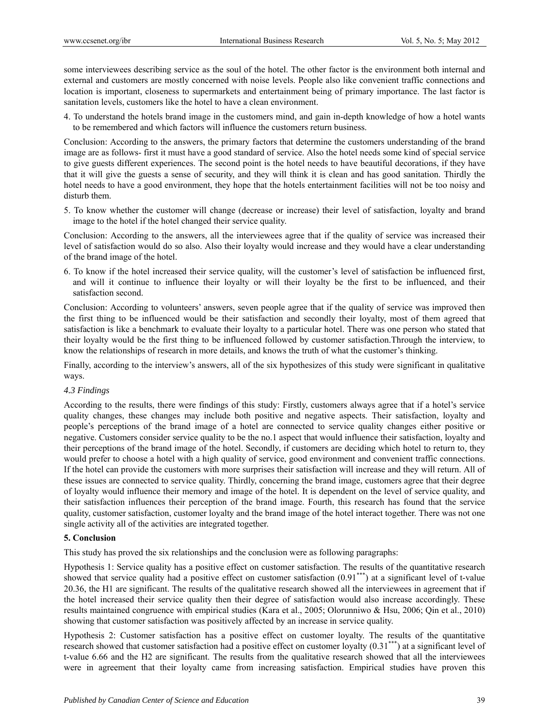some interviewees describing service as the soul of the hotel. The other factor is the environment both internal and external and customers are mostly concerned with noise levels. People also like convenient traffic connections and location is important, closeness to supermarkets and entertainment being of primary importance. The last factor is sanitation levels, customers like the hotel to have a clean environment.

4. To understand the hotels brand image in the customers mind, and gain in-depth knowledge of how a hotel wants to be remembered and which factors will influence the customers return business.

Conclusion: According to the answers, the primary factors that determine the customers understanding of the brand image are as follows- first it must have a good standard of service. Also the hotel needs some kind of special service to give guests different experiences. The second point is the hotel needs to have beautiful decorations, if they have that it will give the guests a sense of security, and they will think it is clean and has good sanitation. Thirdly the hotel needs to have a good environment, they hope that the hotels entertainment facilities will not be too noisy and disturb them.

5. To know whether the customer will change (decrease or increase) their level of satisfaction, loyalty and brand image to the hotel if the hotel changed their service quality.

Conclusion: According to the answers, all the interviewees agree that if the quality of service was increased their level of satisfaction would do so also. Also their loyalty would increase and they would have a clear understanding of the brand image of the hotel.

6. To know if the hotel increased their service quality, will the customer's level of satisfaction be influenced first, and will it continue to influence their loyalty or will their loyalty be the first to be influenced, and their satisfaction second.

Conclusion: According to volunteers' answers, seven people agree that if the quality of service was improved then the first thing to be influenced would be their satisfaction and secondly their loyalty, most of them agreed that satisfaction is like a benchmark to evaluate their loyalty to a particular hotel. There was one person who stated that their loyalty would be the first thing to be influenced followed by customer satisfaction.Through the interview, to know the relationships of research in more details, and knows the truth of what the customer's thinking.

Finally, according to the interview's answers, all of the six hypothesizes of this study were significant in qualitative ways.

#### *4.3 Findings*

According to the results, there were findings of this study: Firstly, customers always agree that if a hotel's service quality changes, these changes may include both positive and negative aspects. Their satisfaction, loyalty and people's perceptions of the brand image of a hotel are connected to service quality changes either positive or negative. Customers consider service quality to be the no.1 aspect that would influence their satisfaction, loyalty and their perceptions of the brand image of the hotel. Secondly, if customers are deciding which hotel to return to, they would prefer to choose a hotel with a high quality of service, good environment and convenient traffic connections. If the hotel can provide the customers with more surprises their satisfaction will increase and they will return. All of these issues are connected to service quality. Thirdly, concerning the brand image, customers agree that their degree of loyalty would influence their memory and image of the hotel. It is dependent on the level of service quality, and their satisfaction influences their perception of the brand image. Fourth, this research has found that the service quality, customer satisfaction, customer loyalty and the brand image of the hotel interact together. There was not one single activity all of the activities are integrated together.

#### **5. Conclusion**

This study has proved the six relationships and the conclusion were as following paragraphs:

Hypothesis 1: Service quality has a positive effect on customer satisfaction. The results of the quantitative research showed that service quality had a positive effect on customer satisfaction (0.91\*\*\*) at a significant level of t-value 20.36, the H1 are significant. The results of the qualitative research showed all the interviewees in agreement that if the hotel increased their service quality then their degree of satisfaction would also increase accordingly. These results maintained congruence with empirical studies (Kara et al., 2005; Olorunniwo & Hsu, 2006; Qin et al., 2010) showing that customer satisfaction was positively affected by an increase in service quality.

Hypothesis 2: Customer satisfaction has a positive effect on customer loyalty. The results of the quantitative research showed that customer satisfaction had a positive effect on customer loyalty  $(0.31***)$  at a significant level of t-value 6.66 and the H2 are significant. The results from the qualitative research showed that all the interviewees were in agreement that their loyalty came from increasing satisfaction. Empirical studies have proven this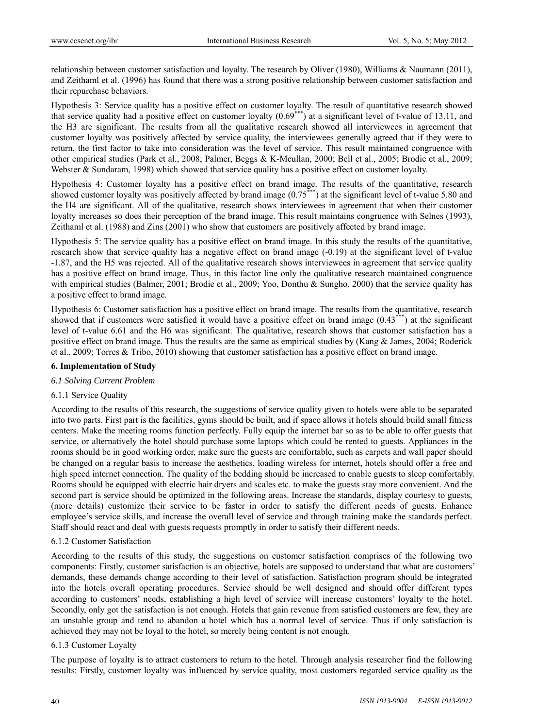relationship between customer satisfaction and loyalty. The research by Oliver (1980), Williams & Naumann (2011), and Zeithaml et al. (1996) has found that there was a strong positive relationship between customer satisfaction and their repurchase behaviors.

Hypothesis 3: Service quality has a positive effect on customer loyalty. The result of quantitative research showed that service quality had a positive effect on customer loyalty (0.69\*\*\*) at a significant level of t-value of 13.11, and the H3 are significant. The results from all the qualitative research showed all interviewees in agreement that customer loyalty was positively affected by service quality, the interviewees generally agreed that if they were to return, the first factor to take into consideration was the level of service. This result maintained congruence with other empirical studies (Park et al., 2008; Palmer, Beggs & K-Mcullan, 2000; Bell et al., 2005; Brodie et al., 2009; Webster & Sundaram, 1998) which showed that service quality has a positive effect on customer loyalty.

Hypothesis 4: Customer loyalty has a positive effect on brand image. The results of the quantitative, research showed customer loyalty was positively affected by brand image  $(0.75^{***})$  at the significant level of t-value 5.80 and the H4 are significant. All of the qualitative, research shows interviewees in agreement that when their customer loyalty increases so does their perception of the brand image. This result maintains congruence with Selnes (1993), Zeithaml et al. (1988) and Zins (2001) who show that customers are positively affected by brand image.

Hypothesis 5: The service quality has a positive effect on brand image. In this study the results of the quantitative, research show that service quality has a negative effect on brand image (-0.19) at the significant level of t-value -1.87, and the H5 was rejected. All of the qualitative research shows interviewees in agreement that service quality has a positive effect on brand image. Thus, in this factor line only the qualitative research maintained congruence with empirical studies (Balmer, 2001; Brodie et al., 2009; Yoo, Donthu & Sungho, 2000) that the service quality has a positive effect to brand image.

Hypothesis 6: Customer satisfaction has a positive effect on brand image. The results from the quantitative, research showed that if customers were satisfied it would have a positive effect on brand image  $(0.43^{***})$  at the significant level of t-value 6.61 and the H6 was significant. The qualitative, research shows that customer satisfaction has a positive effect on brand image. Thus the results are the same as empirical studies by (Kang & James, 2004; Roderick et al., 2009; Torres & Tribo, 2010) showing that customer satisfaction has a positive effect on brand image.

#### **6. Implementation of Study**

#### *6.1 Solving Current Problem*

#### 6.1.1 Service Quality

According to the results of this research, the suggestions of service quality given to hotels were able to be separated into two parts. First part is the facilities, gyms should be built, and if space allows it hotels should build small fitness centers. Make the meeting rooms function perfectly. Fully equip the internet bar so as to be able to offer guests that service, or alternatively the hotel should purchase some laptops which could be rented to guests. Appliances in the rooms should be in good working order, make sure the guests are comfortable, such as carpets and wall paper should be changed on a regular basis to increase the aesthetics, loading wireless for internet, hotels should offer a free and high speed internet connection. The quality of the bedding should be increased to enable guests to sleep comfortably. Rooms should be equipped with electric hair dryers and scales etc. to make the guests stay more convenient. And the second part is service should be optimized in the following areas. Increase the standards, display courtesy to guests, (more details) customize their service to be faster in order to satisfy the different needs of guests. Enhance employee's service skills, and increase the overall level of service and through training make the standards perfect. Staff should react and deal with guests requests promptly in order to satisfy their different needs.

#### 6.1.2 Customer Satisfaction

According to the results of this study, the suggestions on customer satisfaction comprises of the following two components: Firstly, customer satisfaction is an objective, hotels are supposed to understand that what are customers' demands, these demands change according to their level of satisfaction. Satisfaction program should be integrated into the hotels overall operating procedures. Service should be well designed and should offer different types according to customers' needs, establishing a high level of service will increase customers' loyalty to the hotel. Secondly, only got the satisfaction is not enough. Hotels that gain revenue from satisfied customers are few, they are an unstable group and tend to abandon a hotel which has a normal level of service. Thus if only satisfaction is achieved they may not be loyal to the hotel, so merely being content is not enough.

#### 6.1.3 Customer Loyalty

The purpose of loyalty is to attract customers to return to the hotel. Through analysis researcher find the following results: Firstly, customer loyalty was influenced by service quality, most customers regarded service quality as the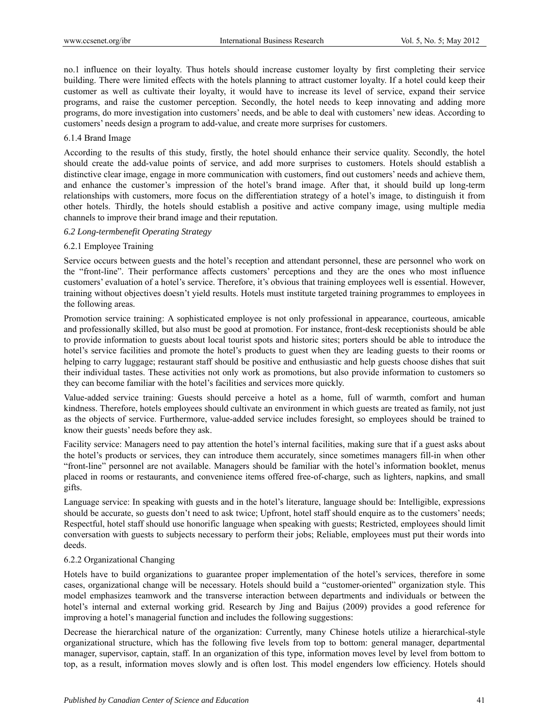no.1 influence on their loyalty. Thus hotels should increase customer loyalty by first completing their service building. There were limited effects with the hotels planning to attract customer loyalty. If a hotel could keep their customer as well as cultivate their loyalty, it would have to increase its level of service, expand their service programs, and raise the customer perception. Secondly, the hotel needs to keep innovating and adding more programs, do more investigation into customers' needs, and be able to deal with customers' new ideas. According to customers' needs design a program to add-value, and create more surprises for customers.

#### 6.1.4 Brand Image

According to the results of this study, firstly, the hotel should enhance their service quality. Secondly, the hotel should create the add-value points of service, and add more surprises to customers. Hotels should establish a distinctive clear image, engage in more communication with customers, find out customers' needs and achieve them, and enhance the customer's impression of the hotel's brand image. After that, it should build up long-term relationships with customers, more focus on the differentiation strategy of a hotel's image, to distinguish it from other hotels. Thirdly, the hotels should establish a positive and active company image, using multiple media channels to improve their brand image and their reputation.

### *6.2 Long-termbenefit Operating Strategy*

### 6.2.1 Employee Training

Service occurs between guests and the hotel's reception and attendant personnel, these are personnel who work on the "front-line". Their performance affects customers' perceptions and they are the ones who most influence customers' evaluation of a hotel's service. Therefore, it's obvious that training employees well is essential. However, training without objectives doesn't yield results. Hotels must institute targeted training programmes to employees in the following areas.

Promotion service training: A sophisticated employee is not only professional in appearance, courteous, amicable and professionally skilled, but also must be good at promotion. For instance, front-desk receptionists should be able to provide information to guests about local tourist spots and historic sites; porters should be able to introduce the hotel's service facilities and promote the hotel's products to guest when they are leading guests to their rooms or helping to carry luggage; restaurant staff should be positive and enthusiastic and help guests choose dishes that suit their individual tastes. These activities not only work as promotions, but also provide information to customers so they can become familiar with the hotel's facilities and services more quickly.

Value-added service training: Guests should perceive a hotel as a home, full of warmth, comfort and human kindness. Therefore, hotels employees should cultivate an environment in which guests are treated as family, not just as the objects of service. Furthermore, value-added service includes foresight, so employees should be trained to know their guests' needs before they ask.

Facility service: Managers need to pay attention the hotel's internal facilities, making sure that if a guest asks about the hotel's products or services, they can introduce them accurately, since sometimes managers fill-in when other "front-line" personnel are not available. Managers should be familiar with the hotel's information booklet, menus placed in rooms or restaurants, and convenience items offered free-of-charge, such as lighters, napkins, and small gifts.

Language service: In speaking with guests and in the hotel's literature, language should be: Intelligible, expressions should be accurate, so guests don't need to ask twice; Upfront, hotel staff should enquire as to the customers' needs; Respectful, hotel staff should use honorific language when speaking with guests; Restricted, employees should limit conversation with guests to subjects necessary to perform their jobs; Reliable, employees must put their words into deeds.

#### 6.2.2 Organizational Changing

Hotels have to build organizations to guarantee proper implementation of the hotel's services, therefore in some cases, organizational change will be necessary. Hotels should build a "customer-oriented" organization style. This model emphasizes teamwork and the transverse interaction between departments and individuals or between the hotel's internal and external working grid. Research by Jing and Baijus (2009) provides a good reference for improving a hotel's managerial function and includes the following suggestions:

Decrease the hierarchical nature of the organization: Currently, many Chinese hotels utilize a hierarchical-style organizational structure, which has the following five levels from top to bottom: general manager, departmental manager, supervisor, captain, staff. In an organization of this type, information moves level by level from bottom to top, as a result, information moves slowly and is often lost. This model engenders low efficiency. Hotels should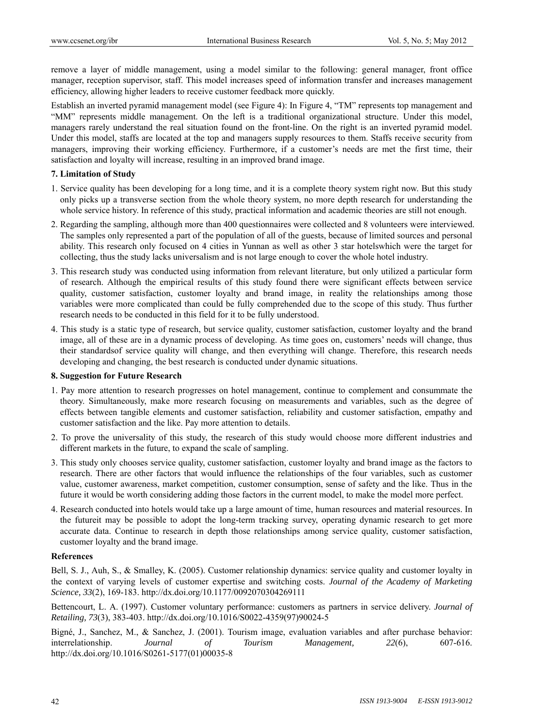remove a layer of middle management, using a model similar to the following: general manager, front office manager, reception supervisor, staff. This model increases speed of information transfer and increases management efficiency, allowing higher leaders to receive customer feedback more quickly.

Establish an inverted pyramid management model (see Figure 4): In Figure 4, "TM" represents top management and "MM" represents middle management. On the left is a traditional organizational structure. Under this model, managers rarely understand the real situation found on the front-line. On the right is an inverted pyramid model. Under this model, staffs are located at the top and managers supply resources to them. Staffs receive security from managers, improving their working efficiency. Furthermore, if a customer's needs are met the first time, their satisfaction and loyalty will increase, resulting in an improved brand image.

#### **7. Limitation of Study**

- 1. Service quality has been developing for a long time, and it is a complete theory system right now. But this study only picks up a transverse section from the whole theory system, no more depth research for understanding the whole service history. In reference of this study, practical information and academic theories are still not enough.
- 2. Regarding the sampling, although more than 400 questionnaires were collected and 8 volunteers were interviewed. The samples only represented a part of the population of all of the guests, because of limited sources and personal ability. This research only focused on 4 cities in Yunnan as well as other 3 star hotelswhich were the target for collecting, thus the study lacks universalism and is not large enough to cover the whole hotel industry.
- 3. This research study was conducted using information from relevant literature, but only utilized a particular form of research. Although the empirical results of this study found there were significant effects between service quality, customer satisfaction, customer loyalty and brand image, in reality the relationships among those variables were more complicated than could be fully comprehended due to the scope of this study. Thus further research needs to be conducted in this field for it to be fully understood.
- 4. This study is a static type of research, but service quality, customer satisfaction, customer loyalty and the brand image, all of these are in a dynamic process of developing. As time goes on, customers' needs will change, thus their standardsof service quality will change, and then everything will change. Therefore, this research needs developing and changing, the best research is conducted under dynamic situations.

#### **8. Suggestion for Future Research**

- 1. Pay more attention to research progresses on hotel management, continue to complement and consummate the theory. Simultaneously, make more research focusing on measurements and variables, such as the degree of effects between tangible elements and customer satisfaction, reliability and customer satisfaction, empathy and customer satisfaction and the like. Pay more attention to details.
- 2. To prove the universality of this study, the research of this study would choose more different industries and different markets in the future, to expand the scale of sampling.
- 3. This study only chooses service quality, customer satisfaction, customer loyalty and brand image as the factors to research. There are other factors that would influence the relationships of the four variables, such as customer value, customer awareness, market competition, customer consumption, sense of safety and the like. Thus in the future it would be worth considering adding those factors in the current model, to make the model more perfect.
- 4. Research conducted into hotels would take up a large amount of time, human resources and material resources. In the futureit may be possible to adopt the long-term tracking survey, operating dynamic research to get more accurate data. Continue to research in depth those relationships among service quality, customer satisfaction, customer loyalty and the brand image.

#### **References**

Bell, S. J., Auh, S., & Smalley, K. (2005). Customer relationship dynamics: service quality and customer loyalty in the context of varying levels of customer expertise and switching costs. *Journal of the Academy of Marketing Science, 33*(2), 169-183. http://dx.doi.org/10.1177/0092070304269111

Bettencourt, L. A. (1997). Customer voluntary performance: customers as partners in service delivery. *Journal of Retailing, 73*(3), 383-403. http://dx.doi.org/10.1016/S0022-4359(97)90024-5

Bigné, J., Sanchez, M., & Sanchez, J. (2001). Tourism image, evaluation variables and after purchase behavior: interrelationship. *Journal of Tourism Management, 22*(6), 607-616. http://dx.doi.org/10.1016/S0261-5177(01)00035-8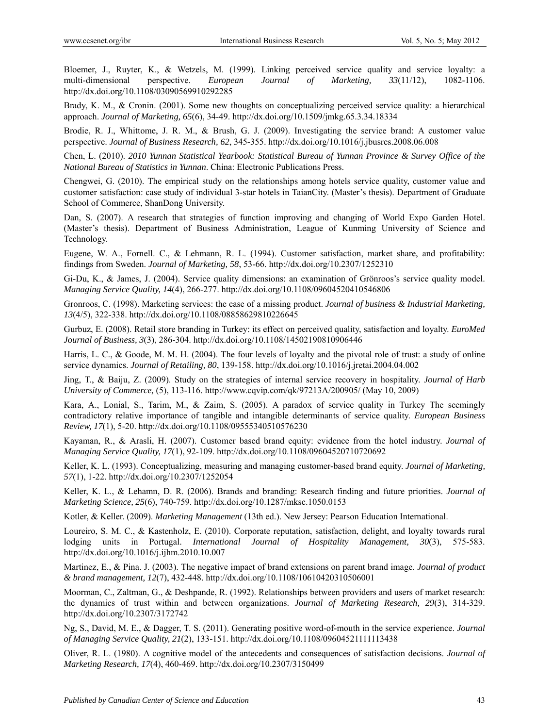Bloemer, J., Ruyter, K., & Wetzels, M. (1999). Linking perceived service quality and service loyalty: a multi-dimensional perspective. *European Journal of Marketing, 33*(11/12), 1082-1106. http://dx.doi.org/10.1108/03090569910292285

Brady, K. M., & Cronin. (2001). Some new thoughts on conceptualizing perceived service quality: a hierarchical approach. *Journal of Marketing, 65*(6), 34-49. http://dx.doi.org/10.1509/jmkg.65.3.34.18334

Brodie, R. J., Whittome, J. R. M., & Brush, G. J. (2009). Investigating the service brand: A customer value perspective. *Journal of Business Research, 62*, 345-355. http://dx.doi.org/10.1016/j.jbusres.2008.06.008

Chen, L. (2010). *2010 Yunnan Statistical Yearbook: Statistical Bureau of Yunnan Province & Survey Office of the National Bureau of Statistics in Yunnan*. China: Electronic Publications Press.

Chengwei, G. (2010). The empirical study on the relationships among hotels service quality, customer value and customer satisfaction: case study of individual 3-star hotels in TaianCity. (Master's thesis). Department of Graduate School of Commerce, ShanDong University.

Dan, S. (2007). A research that strategies of function improving and changing of World Expo Garden Hotel. (Master's thesis). Department of Business Administration, League of Kunming University of Science and Technology.

Eugene, W. A., Fornell. C., & Lehmann, R. L. (1994). Customer satisfaction, market share, and profitability: findings from Sweden. *Journal of Marketing, 58*, 53-66. http://dx.doi.org/10.2307/1252310

Gi-Du, K., & James, J. (2004). Service quality dimensions: an examination of Grönroos's service quality model. *Managing Service Quality, 14*(4), 266-277. http://dx.doi.org/10.1108/09604520410546806

Gronroos, C. (1998). Marketing services: the case of a missing product. *Journal of business & Industrial Marketing, 13*(4/5), 322-338. http://dx.doi.org/10.1108/08858629810226645

Gurbuz, E. (2008). Retail store branding in Turkey: its effect on perceived quality, satisfaction and loyalty. *EuroMed Journal of Business, 3*(3), 286-304. http://dx.doi.org/10.1108/14502190810906446

Harris, L. C., & Goode, M. M. H. (2004). The four levels of loyalty and the pivotal role of trust: a study of online service dynamics. *Journal of Retailing, 80*, 139-158. http://dx.doi.org/10.1016/j.jretai.2004.04.002

Jing, T., & Baiju, Z. (2009). Study on the strategies of internal service recovery in hospitality. *Journal of Harb University of Commerce,* (5), 113-116. http://www.cqvip.com/qk/97213A/200905/ (May 10, 2009)

Kara, A., Lonial, S., Tarim, M., & Zaim, S. (2005). A paradox of service quality in Turkey The seemingly contradictory relative importance of tangible and intangible determinants of service quality. *European Business Review, 17*(1), 5-20. http://dx.doi.org/10.1108/09555340510576230

Kayaman, R., & Arasli, H. (2007). Customer based brand equity: evidence from the hotel industry. *Journal of Managing Service Quality, 17*(1), 92-109. http://dx.doi.org/10.1108/09604520710720692

Keller, K. L. (1993). Conceptualizing, measuring and managing customer-based brand equity. *Journal of Marketing, 57*(1), 1-22. http://dx.doi.org/10.2307/1252054

Keller, K. L., & Lehamn, D. R. (2006). Brands and branding: Research finding and future priorities. *Journal of Marketing Science, 25*(6), 740-759. http://dx.doi.org/10.1287/mksc.1050.0153

Kotler, & Keller. (2009). *Marketing Management* (13th ed.). New Jersey: Pearson Education International.

Loureiro, S. M. C., & Kastenholz, E. (2010). Corporate reputation, satisfaction, delight, and loyalty towards rural lodging units in Portugal. *International Journal of Hospitality Management, 30*(3), 575-583. http://dx.doi.org/10.1016/j.ijhm.2010.10.007

Martinez, E., & Pina. J. (2003). The negative impact of brand extensions on parent brand image. *Journal of product & brand management, 12*(7), 432-448. http://dx.doi.org/10.1108/10610420310506001

Moorman, C., Zaltman, G., & Deshpande, R. (1992). Relationships between providers and users of market research: the dynamics of trust within and between organizations. *Journal of Marketing Research, 29*(3), 314-329. http://dx.doi.org/10.2307/3172742

Ng, S., David, M. E., & Dagger, T. S. (2011). Generating positive word-of-mouth in the service experience. *Journal of Managing Service Quality, 21*(2), 133-151. http://dx.doi.org/10.1108/09604521111113438

Oliver, R. L. (1980). A cognitive model of the antecedents and consequences of satisfaction decisions. *Journal of Marketing Research, 17*(4), 460-469. http://dx.doi.org/10.2307/3150499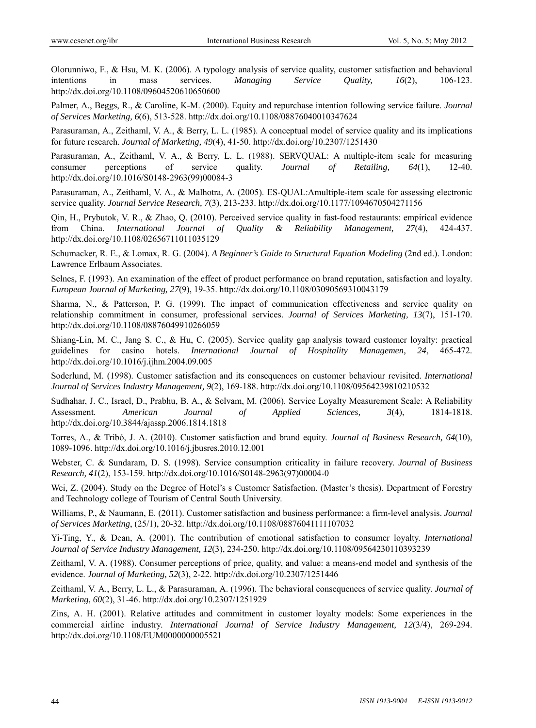Olorunniwo, F., & Hsu, M. K. (2006). A typology analysis of service quality, customer satisfaction and behavioral intentions in mass services. *Managing Service Quality, 16*(2), 106-123. http://dx.doi.org/10.1108/09604520610650600

Palmer, A., Beggs, R., & Caroline, K-M. (2000). Equity and repurchase intention following service failure. *Journal of Services Marketing, 6*(6), 513-528. http://dx.doi.org/10.1108/08876040010347624

Parasuraman, A., Zeithaml, V. A., & Berry, L. L. (1985). A conceptual model of service quality and its implications for future research. *Journal of Marketing, 49*(4), 41-50. http://dx.doi.org/10.2307/1251430

Parasuraman, A., Zeithaml, V. A., & Berry, L. L. (1988). SERVQUAL: A multiple-item scale for measuring consumer perceptions of service quality. *Journal of Retailing, 64*(1), 12-40. http://dx.doi.org/10.1016/S0148-2963(99)00084-3

Parasuraman, A., Zeithaml, V. A., & Malhotra, A. (2005). ES-QUAL:Amultiple-item scale for assessing electronic service quality. *Journal Service Research, 7*(3), 213-233. http://dx.doi.org/10.1177/1094670504271156

Qin, H., Prybutok, V. R., & Zhao, Q. (2010). Perceived service quality in fast-food restaurants: empirical evidence from China. *International Journal of Quality & Reliability Management, 27*(4), 424-437. http://dx.doi.org/10.1108/02656711011035129

Schumacker, R. E., & Lomax, R. G. (2004). *A Beginner's Guide to Structural Equation Modeling* (2nd ed.). London: Lawrence Erlbaum Associates.

Selnes, F. (1993). An examination of the effect of product performance on brand reputation, satisfaction and loyalty. *European Journal of Marketing, 27*(9), 19-35. http://dx.doi.org/10.1108/03090569310043179

Sharma, N., & Patterson, P. G. (1999). The impact of communication effectiveness and service quality on relationship commitment in consumer, professional services. *Journal of Services Marketing, 13*(7), 151-170. http://dx.doi.org/10.1108/08876049910266059

Shiang-Lin, M. C., Jang S. C., & Hu, C. (2005). Service quality gap analysis toward customer loyalty: practical guidelines for casino hotels. *International Journal of Hospitality Managemen, 24*, 465-472. http://dx.doi.org/10.1016/j.ijhm.2004.09.005

Soderlund, M. (1998). Customer satisfaction and its consequences on customer behaviour revisited. *International Journal of Services Industry Management, 9*(2), 169-188. http://dx.doi.org/10.1108/09564239810210532

Sudhahar, J. C., Israel, D., Prabhu, B. A., & Selvam, M. (2006). Service Loyalty Measurement Scale: A Reliability Assessment. *American Journal of Applied Sciences, 3*(4), 1814-1818. http://dx.doi.org/10.3844/ajassp.2006.1814.1818

Torres, A., & Tribó, J. A. (2010). Customer satisfaction and brand equity. *Journal of Business Research, 64*(10), 1089-1096. http://dx.doi.org/10.1016/j.jbusres.2010.12.001

Webster, C. & Sundaram, D. S. (1998). Service consumption criticality in failure recovery. *Journal of Business Research, 41*(2), 153-159. http://dx.doi.org/10.1016/S0148-2963(97)00004-0

Wei, Z. (2004). Study on the Degree of Hotel's s Customer Satisfaction. (Master's thesis). Department of Forestry and Technology college of Tourism of Central South University.

Williams, P., & Naumann, E. (2011). Customer satisfaction and business performance: a firm-level analysis. *Journal of Services Marketing*, (25/1), 20-32. http://dx.doi.org/10.1108/08876041111107032

Yi-Ting, Y., & Dean, A. (2001). The contribution of emotional satisfaction to consumer loyalty. *International Journal of Service Industry Management, 12*(3), 234-250. http://dx.doi.org/10.1108/09564230110393239

Zeithaml, V. A. (1988). Consumer perceptions of price, quality, and value: a means-end model and synthesis of the evidence. *Journal of Marketing, 52*(3), 2-22. http://dx.doi.org/10.2307/1251446

Zeithaml, V. A., Berry, L. L., & Parasuraman, A. (1996). The behavioral consequences of service quality. *Journal of Marketing, 60*(2), 31-46. http://dx.doi.org/10.2307/1251929

Zins, A. H. (2001). Relative attitudes and commitment in customer loyalty models: Some experiences in the commercial airline industry. *International Journal of Service Industry Management, 12*(3/4), 269-294. http://dx.doi.org/10.1108/EUM0000000005521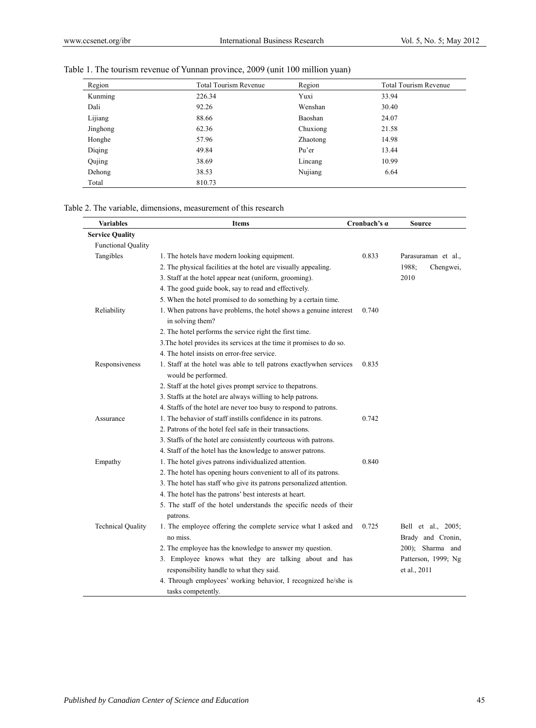| Region   | Total Tourism Revenue | Region   | <b>Total Tourism Revenue</b> |
|----------|-----------------------|----------|------------------------------|
| Kunming  | 226.34                | Yuxi     | 33.94                        |
| Dali     | 92.26                 | Wenshan  | 30.40                        |
| Lijiang  | 88.66                 | Baoshan  | 24.07                        |
| Jinghong | 62.36                 | Chuxiong | 21.58                        |
| Honghe   | 57.96                 | Zhaotong | 14.98                        |
| Diging   | 49.84                 | Pu'er    | 13.44                        |
| Qujing   | 38.69                 | Lincang  | 10.99                        |
| Dehong   | 38.53                 | Nujiang  | 6.64                         |
| Total    | 810.73                |          |                              |

# Table 1. The tourism revenue of Yunnan province, 2009 (unit 100 million yuan)

## Table 2. The variable, dimensions, measurement of this research

| <b>Variables</b>          | <b>Items</b>                                                         | Cronbach's a | <b>Source</b>       |
|---------------------------|----------------------------------------------------------------------|--------------|---------------------|
| <b>Service Quality</b>    |                                                                      |              |                     |
| <b>Functional Quality</b> |                                                                      |              |                     |
| Tangibles                 | 1. The hotels have modern looking equipment.                         | 0.833        | Parasuraman et al., |
|                           | 2. The physical facilities at the hotel are visually appealing.      |              | 1988;<br>Chengwei,  |
|                           | 3. Staff at the hotel appear neat (uniform, grooming).               |              | 2010                |
|                           | 4. The good guide book, say to read and effectively.                 |              |                     |
|                           | 5. When the hotel promised to do something by a certain time.        |              |                     |
| Reliability               | 1. When patrons have problems, the hotel shows a genuine interest    | 0.740        |                     |
|                           | in solving them?                                                     |              |                     |
|                           | 2. The hotel performs the service right the first time.              |              |                     |
|                           | 3. The hotel provides its services at the time it promises to do so. |              |                     |
|                           | 4. The hotel insists on error-free service.                          |              |                     |
| Responsiveness            | 1. Staff at the hotel was able to tell patrons exactlywhen services  | 0.835        |                     |
|                           | would be performed.                                                  |              |                     |
|                           | 2. Staff at the hotel gives prompt service to thepatrons.            |              |                     |
|                           | 3. Staffs at the hotel are always willing to help patrons.           |              |                     |
|                           | 4. Staffs of the hotel are never too busy to respond to patrons.     |              |                     |
| Assurance                 | 1. The behavior of staff instills confidence in its patrons.         | 0.742        |                     |
|                           | 2. Patrons of the hotel feel safe in their transactions.             |              |                     |
|                           | 3. Staffs of the hotel are consistently courteous with patrons.      |              |                     |
|                           | 4. Staff of the hotel has the knowledge to answer patrons.           |              |                     |
| Empathy                   | 1. The hotel gives patrons individualized attention.                 | 0.840        |                     |
|                           | 2. The hotel has opening hours convenient to all of its patrons.     |              |                     |
|                           | 3. The hotel has staff who give its patrons personalized attention.  |              |                     |
|                           | 4. The hotel has the patrons' best interests at heart.               |              |                     |
|                           | 5. The staff of the hotel understands the specific needs of their    |              |                     |
|                           | patrons.                                                             |              |                     |
| <b>Technical Quality</b>  | 1. The employee offering the complete service what I asked and       | 0.725        | Bell et al., 2005;  |
|                           | no miss.                                                             |              | Brady and Cronin,   |
|                           | 2. The employee has the knowledge to answer my question.             |              | 200); Sharma and    |
|                           | 3. Employee knows what they are talking about and has                |              | Patterson, 1999; Ng |
|                           | responsibility handle to what they said.                             |              | et al., 2011        |
|                           | 4. Through employees' working behavior, I recognized he/she is       |              |                     |
|                           | tasks competently.                                                   |              |                     |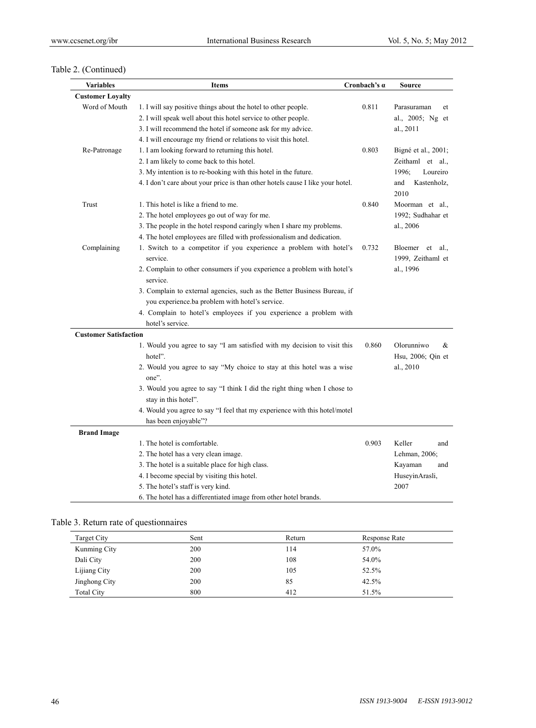# Table 2. (Continued)

| <b>Variables</b>             | Items                                                                                 | Cronbach's a | Source                                    |
|------------------------------|---------------------------------------------------------------------------------------|--------------|-------------------------------------------|
| <b>Customer Loyalty</b>      |                                                                                       |              |                                           |
| Word of Mouth                | 1. I will say positive things about the hotel to other people.                        | 0.811        | Parasuraman<br>et                         |
|                              | 2. I will speak well about this hotel service to other people.                        |              | al., 2005; Ng et                          |
|                              | 3. I will recommend the hotel if someone ask for my advice.                           |              | al., 2011                                 |
|                              | 4. I will encourage my friend or relations to visit this hotel.                       |              |                                           |
| Re-Patronage                 | 1. I am looking forward to returning this hotel.                                      | 0.803        | Bigné et al., 2001;                       |
|                              | 2. I am likely to come back to this hotel.                                            |              | Zeithaml et al.,                          |
|                              | 3. My intention is to re-booking with this hotel in the future.                       |              | 1996;<br>Loureiro                         |
|                              | 4. I don't care about your price is than other hotels cause I like your hotel.        |              | and<br>Kastenholz,<br>2010                |
| Trust                        | 1. This hotel is like a friend to me.                                                 | 0.840        | Moorman et al.,                           |
|                              | 2. The hotel employees go out of way for me.                                          |              | 1992; Sudhahar et                         |
|                              | 3. The people in the hotel respond caringly when I share my problems.                 |              | al., 2006                                 |
|                              | 4. The hotel employees are filled with professionalism and dedication.                |              |                                           |
| Complaining                  | 1. Switch to a competitor if you experience a problem with hotel's<br>service.        | 0.732        | Bloemer<br>et<br>al.<br>1999, Zeithaml et |
|                              | 2. Complain to other consumers if you experience a problem with hotel's               |              | al., 1996                                 |
|                              | service.                                                                              |              |                                           |
|                              | 3. Complain to external agencies, such as the Better Business Bureau, if              |              |                                           |
|                              | you experience.ba problem with hotel's service.                                       |              |                                           |
|                              | 4. Complain to hotel's employees if you experience a problem with<br>hotel's service. |              |                                           |
| <b>Customer Satisfaction</b> |                                                                                       |              |                                           |
|                              |                                                                                       |              | Olorunniwo<br>&                           |
|                              | 1. Would you agree to say "I am satisfied with my decision to visit this<br>hotel".   | 0.860        | Hsu, 2006; Qin et                         |
|                              | 2. Would you agree to say "My choice to stay at this hotel was a wise                 |              |                                           |
|                              | one".                                                                                 |              | al., 2010                                 |
|                              | 3. Would you agree to say "I think I did the right thing when I chose to              |              |                                           |
|                              | stay in this hotel".                                                                  |              |                                           |
|                              | 4. Would you agree to say "I feel that my experience with this hotel/motel            |              |                                           |
|                              | has been enjoyable"?                                                                  |              |                                           |
| <b>Brand Image</b>           |                                                                                       |              |                                           |
|                              | 1. The hotel is comfortable.                                                          | 0.903        | Keller<br>and                             |
|                              | 2. The hotel has a very clean image.                                                  |              | Lehman, 2006;                             |
|                              | 3. The hotel is a suitable place for high class.                                      |              | Kayaman<br>and                            |
|                              | 4. I become special by visiting this hotel.                                           |              | HuseyinArasli,                            |
|                              | 5. The hotel's staff is very kind.                                                    |              | 2007                                      |
|                              | 6. The hotel has a differentiated image from other hotel brands.                      |              |                                           |

# Table 3. Return rate of questionnaires

| Target City       | Sent | Return | Response Rate |
|-------------------|------|--------|---------------|
| Kunming City      | 200  | 114    | 57.0%         |
| Dali City         | 200  | 108    | 54.0%         |
| Lijiang City      | 200  | 105    | 52.5%         |
| Jinghong City     | 200  | 85     | 42.5%         |
| <b>Total City</b> | 800  | 412    | 51.5%         |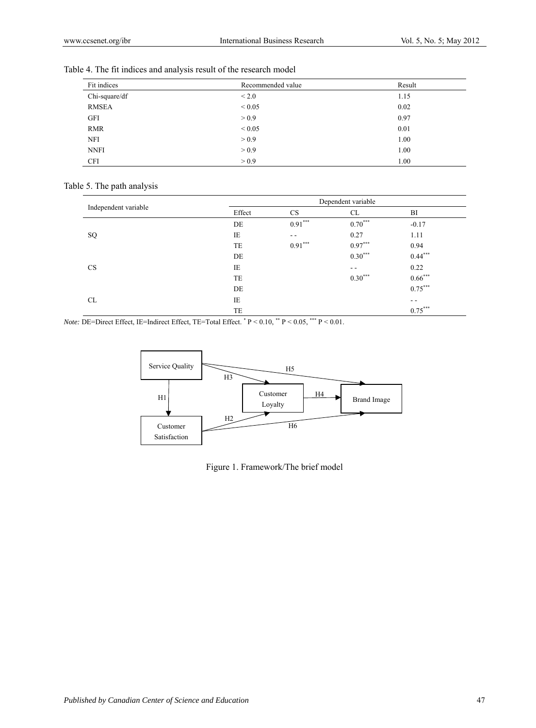| Fit indices   | Recommended value | Result |  |
|---------------|-------------------|--------|--|
| Chi-square/df | $\leq 2.0$        | 1.15   |  |
| <b>RMSEA</b>  | ${}_{0.05}$       | 0.02   |  |
| <b>GFI</b>    | > 0.9             | 0.97   |  |
| <b>RMR</b>    | ${}_{0.05}$       | 0.01   |  |
| <b>NFI</b>    | > 0.9             | 1.00   |  |
| <b>NNFI</b>   | > 0.9             | 1.00   |  |
| <b>CFI</b>    | > 0.9             | 1.00   |  |

#### Table 4. The fit indices and analysis result of the research model

## Table 5. The path analysis

|                      | Dependent variable |           |           |                |
|----------------------|--------------------|-----------|-----------|----------------|
| Independent variable | Effect             | <b>CS</b> | CL        | BI             |
|                      | DE                 | $0.91***$ | $0.70***$ | $-0.17$        |
| SQ                   | IE                 | $ -$      | 0.27      | 1.11           |
|                      | TE                 | $0.91***$ | $0.97***$ | 0.94           |
|                      | DE                 |           | $0.30***$ | $0.44***$      |
| <b>CS</b>            | IE                 |           | $ -$      | 0.22           |
|                      | TE                 |           | $0.30***$ | $0.66^{***}\,$ |
|                      | DE                 |           |           | $0.75***$      |
| CL                   | IE                 |           |           | $ -$           |
|                      | TE                 |           |           | $0.75***$      |

*Note:* DE=Direct Effect, IE=Indirect Effect, TE=Total Effect.  $P < 0.10$ ,  $P < 0.05$ ,  $P < 0.01$ .



Figure 1. Framework/The brief model